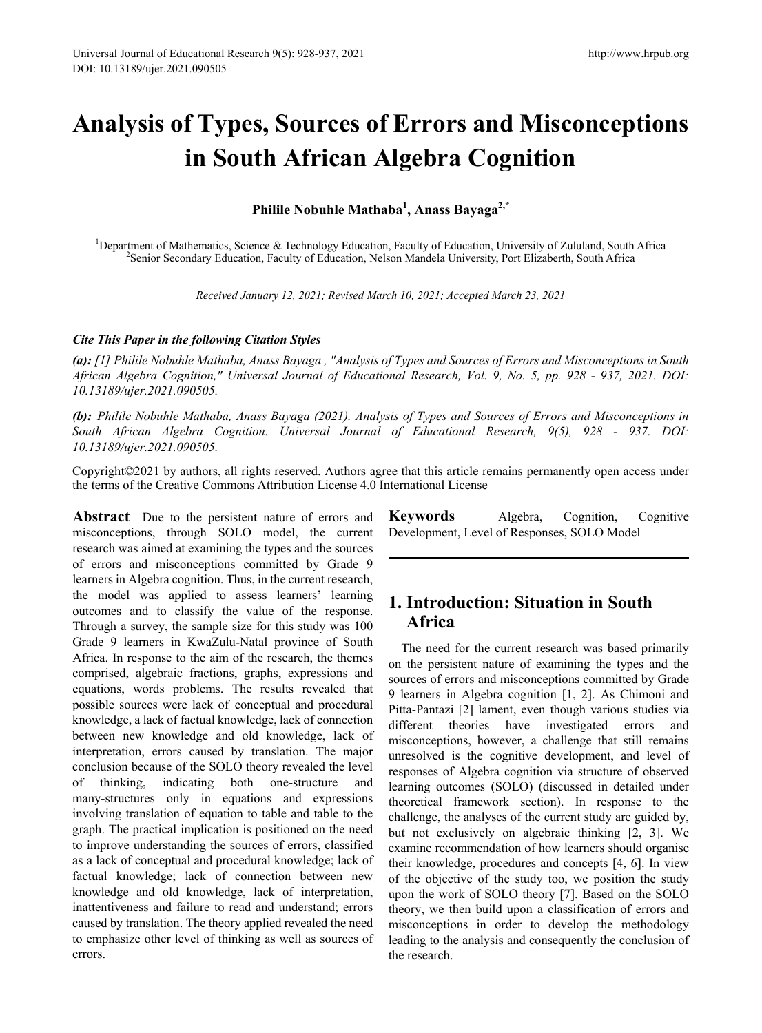# **Analysis of Types, Sources of Errors and Misconceptions in South African Algebra Cognition**

**Philile Nobuhle Mathaba1 , Anass Bayaga2,\***

<sup>1</sup>Department of Mathematics, Science & Technology Education, Faculty of Education, University of Zululand, South Africa<br><sup>2</sup>Senior Secondary Education, Faculty of Education, Nelson Mandela University Port Elizabeth, South <sup>2</sup>Senior Secondary Education, Faculty of Education, Nelson Mandela University, Port Elizaberth, South Africa

*Received January 12, 2021; Revised March 10, 2021; Accepted March 23, 2021*

#### *Cite This Paper in the following Citation Styles*

*(a): [1] Philile Nobuhle Mathaba, Anass Bayaga , "Analysis of Types and Sources of Errors and Misconceptions in South African Algebra Cognition," Universal Journal of Educational Research, Vol. 9, No. 5, pp. 928 - 937, 2021. DOI: 10.13189/ujer.2021.090505.* 

*(b): Philile Nobuhle Mathaba, Anass Bayaga (2021). Analysis of Types and Sources of Errors and Misconceptions in South African Algebra Cognition. Universal Journal of Educational Research, 9(5), 928 - 937. DOI: 10.13189/ujer.2021.090505.* 

Copyright©2021 by authors, all rights reserved. Authors agree that this article remains permanently open access under the terms of the Creative Commons Attribution License 4.0 International License

**Abstract** Due to the persistent nature of errors and misconceptions, through SOLO model, the current research was aimed at examining the types and the sources of errors and misconceptions committed by Grade 9 learners in Algebra cognition. Thus, in the current research, the model was applied to assess learners' learning outcomes and to classify the value of the response. Through a survey, the sample size for this study was 100 Grade 9 learners in KwaZulu-Natal province of South Africa. In response to the aim of the research, the themes comprised, algebraic fractions, graphs, expressions and equations, words problems. The results revealed that possible sources were lack of conceptual and procedural knowledge, a lack of factual knowledge, lack of connection between new knowledge and old knowledge, lack of interpretation, errors caused by translation. The major conclusion because of the SOLO theory revealed the level of thinking, indicating both one-structure and many-structures only in equations and expressions involving translation of equation to table and table to the graph. The practical implication is positioned on the need to improve understanding the sources of errors, classified as a lack of conceptual and procedural knowledge; lack of factual knowledge; lack of connection between new knowledge and old knowledge, lack of interpretation, inattentiveness and failure to read and understand; errors caused by translation. The theory applied revealed the need to emphasize other level of thinking as well as sources of errors.

**Keywords** Algebra, Cognition, Cognitive Development, Level of Responses, SOLO Model

# **1. Introduction: Situation in South Africa**

The need for the current research was based primarily on the persistent nature of examining the types and the sources of errors and misconceptions committed by Grade 9 learners in Algebra cognition [1, 2]. As Chimoni and Pitta-Pantazi [2] lament, even though various studies via different theories have investigated errors and misconceptions, however, a challenge that still remains unresolved is the cognitive development, and level of responses of Algebra cognition via structure of observed learning outcomes (SOLO) (discussed in detailed under theoretical framework section). In response to the challenge, the analyses of the current study are guided by, but not exclusively on algebraic thinking [2, 3]. We examine recommendation of how learners should organise their knowledge, procedures and concepts [4, 6]. In view of the objective of the study too, we position the study upon the work of SOLO theory [7]. Based on the SOLO theory, we then build upon a classification of errors and misconceptions in order to develop the methodology leading to the analysis and consequently the conclusion of the research.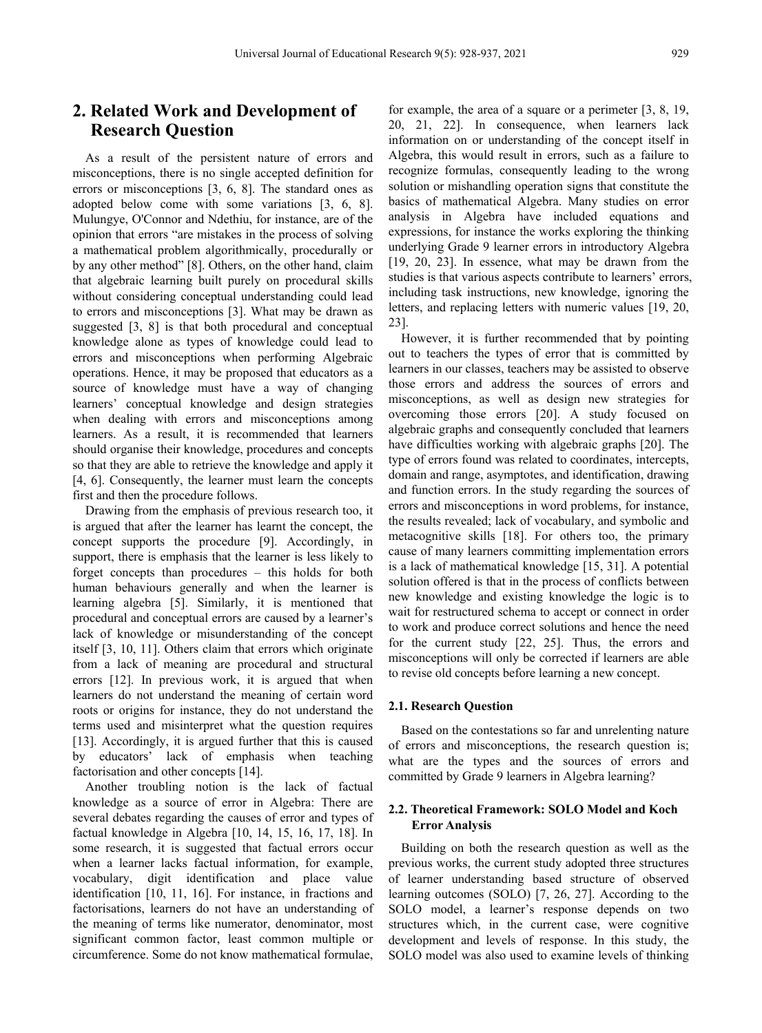# **2. Related Work and Development of Research Question**

As a result of the persistent nature of errors and misconceptions, there is no single accepted definition for errors or misconceptions [3, 6, 8]. The standard ones as adopted below come with some variations [3, 6, 8]. Mulungye, O'Connor and Ndethiu, for instance, are of the opinion that errors "are mistakes in the process of solving a mathematical problem algorithmically, procedurally or by any other method" [8]. Others, on the other hand, claim that algebraic learning built purely on procedural skills without considering conceptual understanding could lead to errors and misconceptions [3]. What may be drawn as suggested [3, 8] is that both procedural and conceptual knowledge alone as types of knowledge could lead to errors and misconceptions when performing Algebraic operations. Hence, it may be proposed that educators as a source of knowledge must have a way of changing learners' conceptual knowledge and design strategies when dealing with errors and misconceptions among learners. As a result, it is recommended that learners should organise their knowledge, procedures and concepts so that they are able to retrieve the knowledge and apply it [4, 6]. Consequently, the learner must learn the concepts first and then the procedure follows.

Drawing from the emphasis of previous research too, it is argued that after the learner has learnt the concept, the concept supports the procedure [9]. Accordingly, in support, there is emphasis that the learner is less likely to forget concepts than procedures – this holds for both human behaviours generally and when the learner is learning algebra [5]. Similarly, it is mentioned that procedural and conceptual errors are caused by a learner's lack of knowledge or misunderstanding of the concept itself [3, 10, 11]. Others claim that errors which originate from a lack of meaning are procedural and structural errors [12]. In previous work, it is argued that when learners do not understand the meaning of certain word roots or origins for instance, they do not understand the terms used and misinterpret what the question requires [13]. Accordingly, it is argued further that this is caused by educators' lack of emphasis when teaching factorisation and other concepts [14].

Another troubling notion is the lack of factual knowledge as a source of error in Algebra: There are several debates regarding the causes of error and types of factual knowledge in Algebra [10, 14, 15, 16, 17, 18]. In some research, it is suggested that factual errors occur when a learner lacks factual information, for example, vocabulary, digit identification and place value identification [10, 11, 16]. For instance, in fractions and factorisations, learners do not have an understanding of the meaning of terms like numerator, denominator, most significant common factor, least common multiple or circumference. Some do not know mathematical formulae, for example, the area of a square or a perimeter [3, 8, 19, 20, 21, 22]. In consequence, when learners lack information on or understanding of the concept itself in Algebra, this would result in errors, such as a failure to recognize formulas, consequently leading to the wrong solution or mishandling operation signs that constitute the basics of mathematical Algebra. Many studies on error analysis in Algebra have included equations and expressions, for instance the works exploring the thinking underlying Grade 9 learner errors in introductory Algebra [19, 20, 23]. In essence, what may be drawn from the studies is that various aspects contribute to learners' errors, including task instructions, new knowledge, ignoring the letters, and replacing letters with numeric values [19, 20, 23].

However, it is further recommended that by pointing out to teachers the types of error that is committed by learners in our classes, teachers may be assisted to observe those errors and address the sources of errors and misconceptions, as well as design new strategies for overcoming those errors [20]. A study focused on algebraic graphs and consequently concluded that learners have difficulties working with algebraic graphs [20]. The type of errors found was related to coordinates, intercepts, domain and range, asymptotes, and identification, drawing and function errors. In the study regarding the sources of errors and misconceptions in word problems, for instance, the results revealed; lack of vocabulary, and symbolic and metacognitive skills [18]. For others too, the primary cause of many learners committing implementation errors is a lack of mathematical knowledge [15, 31]. A potential solution offered is that in the process of conflicts between new knowledge and existing knowledge the logic is to wait for restructured schema to accept or connect in order to work and produce correct solutions and hence the need for the current study [22, 25]. Thus, the errors and misconceptions will only be corrected if learners are able to revise old concepts before learning a new concept.

#### **2.1. Research Question**

Based on the contestations so far and unrelenting nature of errors and misconceptions, the research question is; what are the types and the sources of errors and committed by Grade 9 learners in Algebra learning?

#### **2.2. Theoretical Framework: SOLO Model and Koch Error Analysis**

Building on both the research question as well as the previous works, the current study adopted three structures of learner understanding based structure of observed learning outcomes (SOLO) [7, 26, 27]. According to the SOLO model, a learner's response depends on two structures which, in the current case, were cognitive development and levels of response. In this study, the SOLO model was also used to examine levels of thinking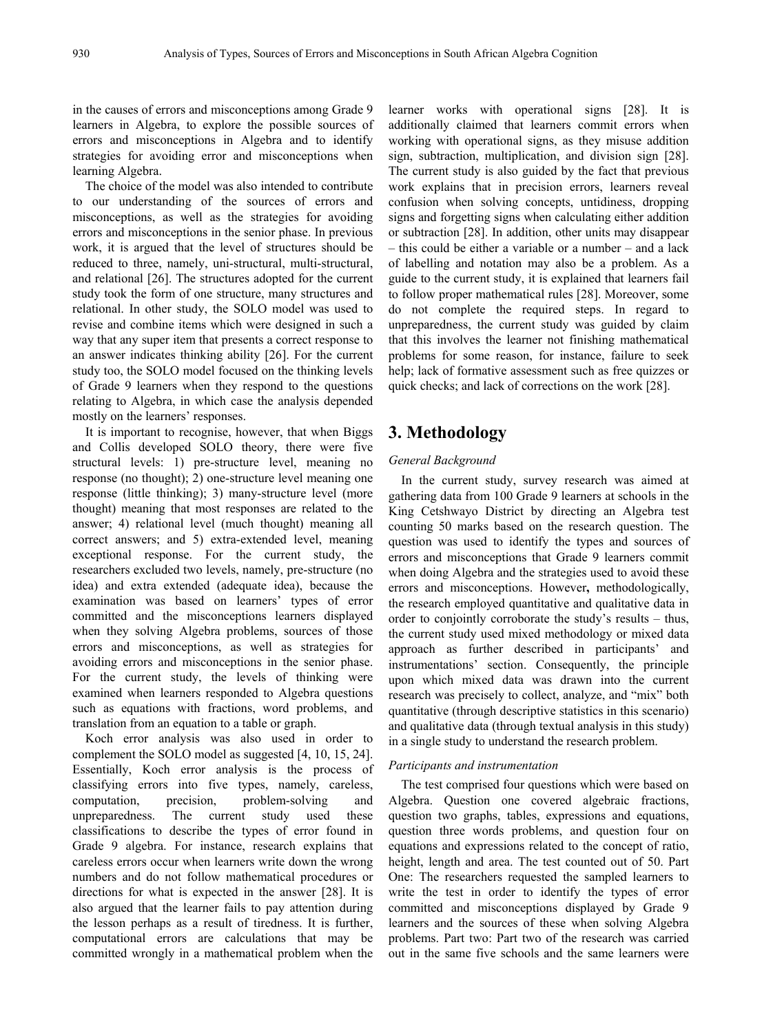in the causes of errors and misconceptions among Grade 9 learners in Algebra, to explore the possible sources of errors and misconceptions in Algebra and to identify strategies for avoiding error and misconceptions when learning Algebra.

The choice of the model was also intended to contribute to our understanding of the sources of errors and misconceptions, as well as the strategies for avoiding errors and misconceptions in the senior phase. In previous work, it is argued that the level of structures should be reduced to three, namely, uni-structural, multi-structural, and relational [26]. The structures adopted for the current study took the form of one structure, many structures and relational. In other study, the SOLO model was used to revise and combine items which were designed in such a way that any super item that presents a correct response to an answer indicates thinking ability [26]. For the current study too, the SOLO model focused on the thinking levels of Grade 9 learners when they respond to the questions relating to Algebra, in which case the analysis depended mostly on the learners' responses.

It is important to recognise, however, that when Biggs and Collis developed SOLO theory, there were five structural levels: 1) pre-structure level, meaning no response (no thought); 2) one-structure level meaning one response (little thinking); 3) many-structure level (more thought) meaning that most responses are related to the answer; 4) relational level (much thought) meaning all correct answers; and 5) extra-extended level, meaning exceptional response. For the current study, the researchers excluded two levels, namely, pre-structure (no idea) and extra extended (adequate idea), because the examination was based on learners' types of error committed and the misconceptions learners displayed when they solving Algebra problems, sources of those errors and misconceptions, as well as strategies for avoiding errors and misconceptions in the senior phase. For the current study, the levels of thinking were examined when learners responded to Algebra questions such as equations with fractions, word problems, and translation from an equation to a table or graph.

Koch error analysis was also used in order to complement the SOLO model as suggested [4, 10, 15, 24]. Essentially, Koch error analysis is the process of classifying errors into five types, namely, careless, computation, precision, problem-solving and unpreparedness. The current study used these classifications to describe the types of error found in Grade 9 algebra. For instance, research explains that careless errors occur when learners write down the wrong numbers and do not follow mathematical procedures or directions for what is expected in the answer [28]. It is also argued that the learner fails to pay attention during the lesson perhaps as a result of tiredness. It is further, computational errors are calculations that may be committed wrongly in a mathematical problem when the

learner works with operational signs [28]. It is additionally claimed that learners commit errors when working with operational signs, as they misuse addition sign, subtraction, multiplication, and division sign [28]. The current study is also guided by the fact that previous work explains that in precision errors, learners reveal confusion when solving concepts, untidiness, dropping signs and forgetting signs when calculating either addition or subtraction [28]. In addition, other units may disappear – this could be either a variable or a number – and a lack of labelling and notation may also be a problem. As a guide to the current study, it is explained that learners fail to follow proper mathematical rules [28]. Moreover, some do not complete the required steps. In regard to unpreparedness, the current study was guided by claim that this involves the learner not finishing mathematical problems for some reason, for instance, failure to seek help; lack of formative assessment such as free quizzes or quick checks; and lack of corrections on the work [28].

## **3. Methodology**

#### *General Background*

In the current study, survey research was aimed at gathering data from 100 Grade 9 learners at schools in the King Cetshwayo District by directing an Algebra test counting 50 marks based on the research question. The question was used to identify the types and sources of errors and misconceptions that Grade 9 learners commit when doing Algebra and the strategies used to avoid these errors and misconceptions. However**,** methodologically, the research employed quantitative and qualitative data in order to conjointly corroborate the study's results – thus, the current study used mixed methodology or mixed data approach as further described in participants' and instrumentations' section. Consequently, the principle upon which mixed data was drawn into the current research was precisely to collect, analyze, and "mix" both quantitative (through descriptive statistics in this scenario) and qualitative data (through textual analysis in this study) in a single study to understand the research problem.

#### *Participants and instrumentation*

The test comprised four questions which were based on Algebra. Question one covered algebraic fractions, question two graphs, tables, expressions and equations, question three words problems, and question four on equations and expressions related to the concept of ratio, height, length and area. The test counted out of 50. Part One: The researchers requested the sampled learners to write the test in order to identify the types of error committed and misconceptions displayed by Grade 9 learners and the sources of these when solving Algebra problems. Part two: Part two of the research was carried out in the same five schools and the same learners were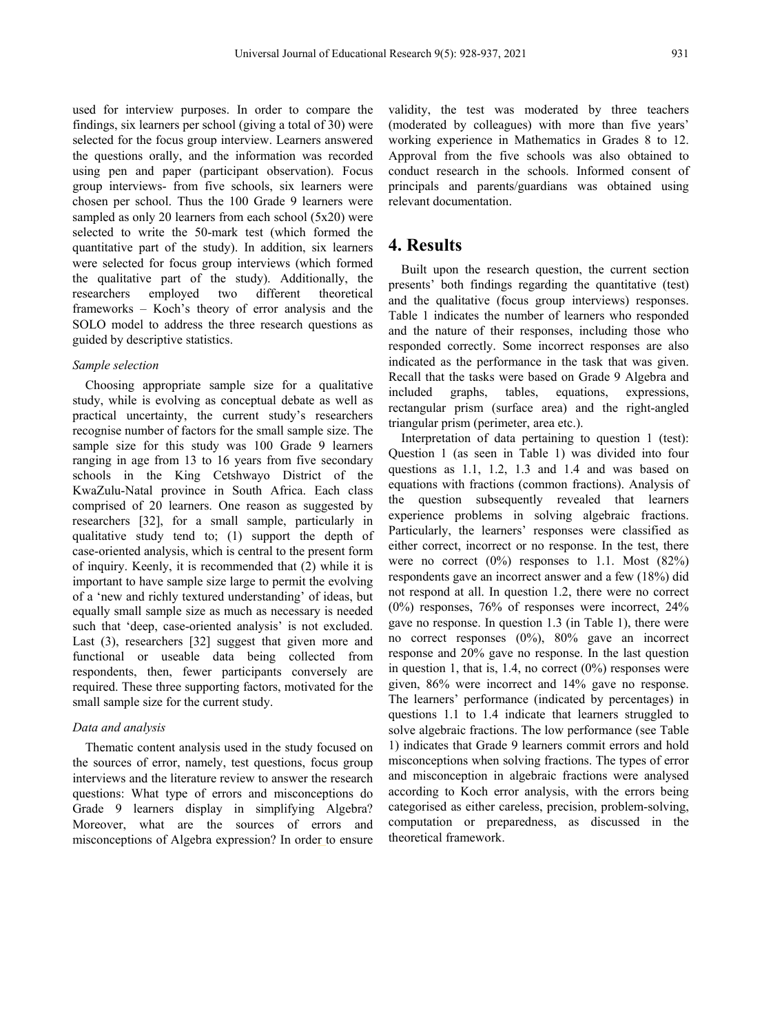used for interview purposes. In order to compare the findings, six learners per school (giving a total of 30) were selected for the focus group interview. Learners answered the questions orally, and the information was recorded using pen and paper (participant observation). Focus group interviews- from five schools, six learners were chosen per school. Thus the 100 Grade 9 learners were sampled as only 20 learners from each school (5x20) were selected to write the 50-mark test (which formed the quantitative part of the study). In addition, six learners were selected for focus group interviews (which formed the qualitative part of the study). Additionally, the researchers employed two different theoretical researchers employed two different theoretical frameworks – Koch's theory of error analysis and the SOLO model to address the three research questions as guided by descriptive statistics.

#### *Sample selection*

Choosing appropriate sample size for a qualitative study, while is evolving as conceptual debate as well as practical uncertainty, the current study's researchers recognise number of factors for the small sample size. The sample size for this study was 100 Grade 9 learners ranging in age from 13 to 16 years from five secondary schools in the King Cetshwayo District of the KwaZulu-Natal province in South Africa. Each class comprised of 20 learners. One reason as suggested by researchers [32], for a small sample, particularly in qualitative study tend to; (1) support the depth of case-oriented analysis, which is central to the present form of inquiry. Keenly, it is recommended that (2) while it is important to have sample size large to permit the evolving of a 'new and richly textured understanding' of ideas, but equally small sample size as much as necessary is needed such that 'deep, case-oriented analysis' is not excluded. Last (3), researchers [32] suggest that given more and functional or useable data being collected from respondents, then, fewer participants conversely are required. These three supporting factors, motivated for the small sample size for the current study.

#### *Data and analysis*

Thematic content analysis used in the study focused on the sources of error, namely, test questions, focus group interviews and the literature review to answer the research questions: What type of errors and misconceptions do Grade 9 learners display in simplifying Algebra? Moreover, what are the sources of errors and misconceptions of Algebra expression? In order to ensure validity, the test was moderated by three teachers (moderated by colleagues) with more than five years' working experience in Mathematics in Grades 8 to 12. Approval from the five schools was also obtained to conduct research in the schools. Informed consent of principals and parents/guardians was obtained using relevant documentation.

### **4. Results**

Built upon the research question, the current section presents' both findings regarding the quantitative (test) and the qualitative (focus group interviews) responses. Table 1 indicates the number of learners who responded and the nature of their responses, including those who responded correctly. Some incorrect responses are also indicated as the performance in the task that was given. Recall that the tasks were based on Grade 9 Algebra and included graphs, tables, equations, expressions, rectangular prism (surface area) and the right-angled triangular prism (perimeter, area etc.).

Interpretation of data pertaining to question 1 (test): Question 1 (as seen in Table 1) was divided into four questions as 1.1, 1.2, 1.3 and 1.4 and was based on equations with fractions (common fractions). Analysis of the question subsequently revealed that learners experience problems in solving algebraic fractions. Particularly, the learners' responses were classified as either correct, incorrect or no response. In the test, there were no correct  $(0\%)$  responses to 1.1. Most  $(82\%)$ respondents gave an incorrect answer and a few (18%) did not respond at all. In question 1.2, there were no correct (0%) responses, 76% of responses were incorrect, 24% gave no response. In question 1.3 (in Table 1), there were no correct responses (0%), 80% gave an incorrect response and 20% gave no response. In the last question in question 1, that is, 1.4, no correct  $(0\%)$  responses were given, 86% were incorrect and 14% gave no response. The learners' performance (indicated by percentages) in questions 1.1 to 1.4 indicate that learners struggled to solve algebraic fractions. The low performance (see Table 1) indicates that Grade 9 learners commit errors and hold misconceptions when solving fractions. The types of error and misconception in algebraic fractions were analysed according to Koch error analysis, with the errors being categorised as either careless, precision, problem-solving, computation or preparedness, as discussed in the theoretical framework.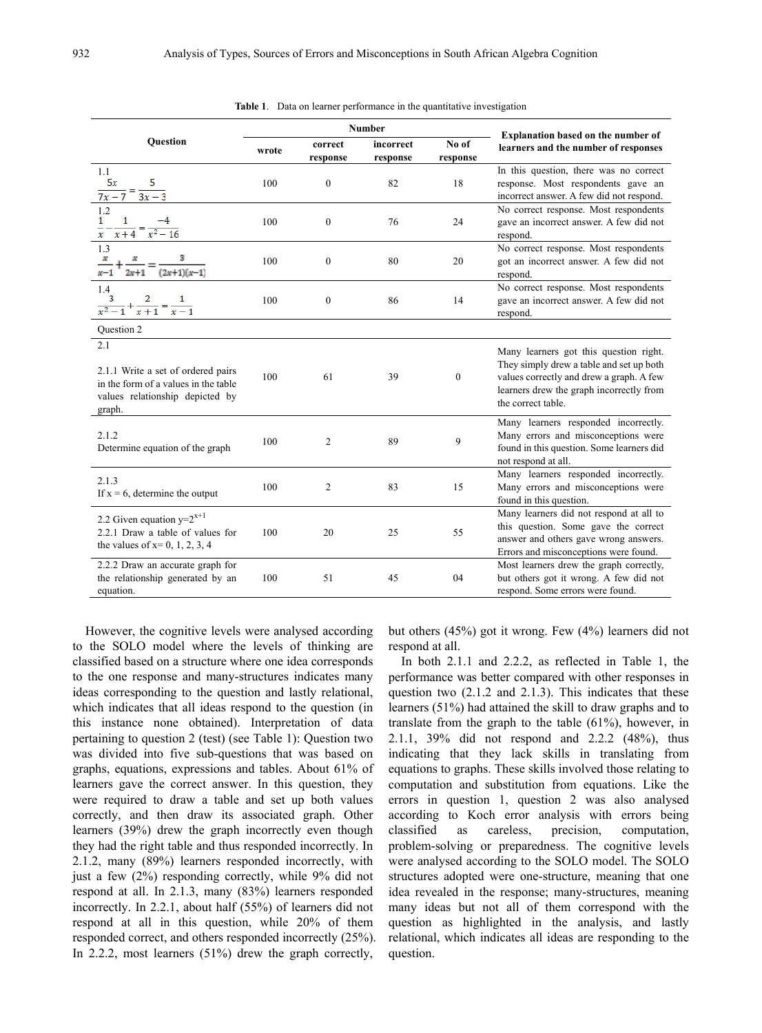|                                                                                                                                | <b>Number</b> |                     |                       |                   |                                                                                                                                                                                                  |  |
|--------------------------------------------------------------------------------------------------------------------------------|---------------|---------------------|-----------------------|-------------------|--------------------------------------------------------------------------------------------------------------------------------------------------------------------------------------------------|--|
| Question                                                                                                                       | wrote         | correct<br>response | incorrect<br>response | No of<br>response | <b>Explanation based on the number of</b><br>learners and the number of responses                                                                                                                |  |
| 1.1<br>5x<br>$\frac{1}{7x-7} = \frac{1}{3x-3}$                                                                                 | 100           | $\mathbf{0}$        | 82                    | 18                | In this question, there was no correct<br>response. Most respondents gave an<br>incorrect answer. A few did not respond.                                                                         |  |
| 1.2<br>$\frac{1}{x} - \frac{1}{x+4} = \frac{-4}{x^2 - 16}$                                                                     | 100           | $\mathbf{0}$        | 76                    | 24                | No correct response. Most respondents<br>gave an incorrect answer. A few did not<br>respond.                                                                                                     |  |
| 1.3<br>$\frac{2x+1}{x-1}$                                                                                                      | 100           | $\mathbf{0}$        | 80                    | 20                | No correct response. Most respondents<br>got an incorrect answer. A few did not<br>respond.                                                                                                      |  |
| 1.4<br>$\frac{3}{x^2-1}+\frac{2}{x+1}=\frac{1}{x-1}$                                                                           | 100           | $\mathbf{0}$        | 86                    | 14                | No correct response. Most respondents<br>gave an incorrect answer. A few did not<br>respond.                                                                                                     |  |
| Question 2                                                                                                                     |               |                     |                       |                   |                                                                                                                                                                                                  |  |
| 2.1<br>2.1.1 Write a set of ordered pairs<br>in the form of a values in the table<br>values relationship depicted by<br>graph. | 100           | 61                  | 39                    | $\boldsymbol{0}$  | Many learners got this question right.<br>They simply drew a table and set up both<br>values correctly and drew a graph. A few<br>learners drew the graph incorrectly from<br>the correct table. |  |
| 2.1.2<br>Determine equation of the graph                                                                                       | 100           | $\overline{2}$      | 89                    | 9                 | Many learners responded incorrectly.<br>Many errors and misconceptions were<br>found in this question. Some learners did<br>not respond at all.                                                  |  |
| 2.1.3<br>If $x = 6$ , determine the output                                                                                     | 100           | $\overline{2}$      | 83                    | 15                | Many learners responded incorrectly.<br>Many errors and misconceptions were<br>found in this question.                                                                                           |  |
| 2.2 Given equation $y=2^{x+1}$<br>2.2.1 Draw a table of values for<br>the values of $x=0, 1, 2, 3, 4$                          | 100           | 20                  | 25                    | 55                | Many learners did not respond at all to<br>this question. Some gave the correct<br>answer and others gave wrong answers.<br>Errors and misconceptions were found.                                |  |
| 2.2.2 Draw an accurate graph for<br>the relationship generated by an<br>equation.                                              | 100           | 51                  | 45                    | 04                | Most learners drew the graph correctly,<br>but others got it wrong. A few did not<br>respond. Some errors were found.                                                                            |  |

|  |  |  |  |  |  | <b>Table 1.</b> Data on learner performance in the quantitative investigation |
|--|--|--|--|--|--|-------------------------------------------------------------------------------|
|--|--|--|--|--|--|-------------------------------------------------------------------------------|

However, the cognitive levels were analysed according to the SOLO model where the levels of thinking are classified based on a structure where one idea corresponds to the one response and many-structures indicates many ideas corresponding to the question and lastly relational, which indicates that all ideas respond to the question (in this instance none obtained). Interpretation of data pertaining to question 2 (test) (see Table 1): Question two was divided into five sub-questions that was based on graphs, equations, expressions and tables. About 61% of learners gave the correct answer. In this question, they were required to draw a table and set up both values correctly, and then draw its associated graph. Other learners (39%) drew the graph incorrectly even though they had the right table and thus responded incorrectly. In 2.1.2, many (89%) learners responded incorrectly, with just a few (2%) responding correctly, while 9% did not respond at all. In 2.1.3, many (83%) learners responded incorrectly. In 2.2.1, about half (55%) of learners did not respond at all in this question, while 20% of them responded correct, and others responded incorrectly (25%). In 2.2.2, most learners (51%) drew the graph correctly,

but others (45%) got it wrong. Few (4%) learners did not respond at all.

In both 2.1.1 and 2.2.2, as reflected in Table 1, the performance was better compared with other responses in question two (2.1.2 and 2.1.3). This indicates that these learners (51%) had attained the skill to draw graphs and to translate from the graph to the table (61%), however, in 2.1.1, 39% did not respond and 2.2.2 (48%), thus indicating that they lack skills in translating from equations to graphs. These skills involved those relating to computation and substitution from equations. Like the errors in question 1, question 2 was also analysed according to Koch error analysis with errors being classified as careless, precision, computation, problem-solving or preparedness. The cognitive levels were analysed according to the SOLO model. The SOLO structures adopted were one-structure, meaning that one idea revealed in the response; many-structures, meaning many ideas but not all of them correspond with the question as highlighted in the analysis, and lastly relational, which indicates all ideas are responding to the question.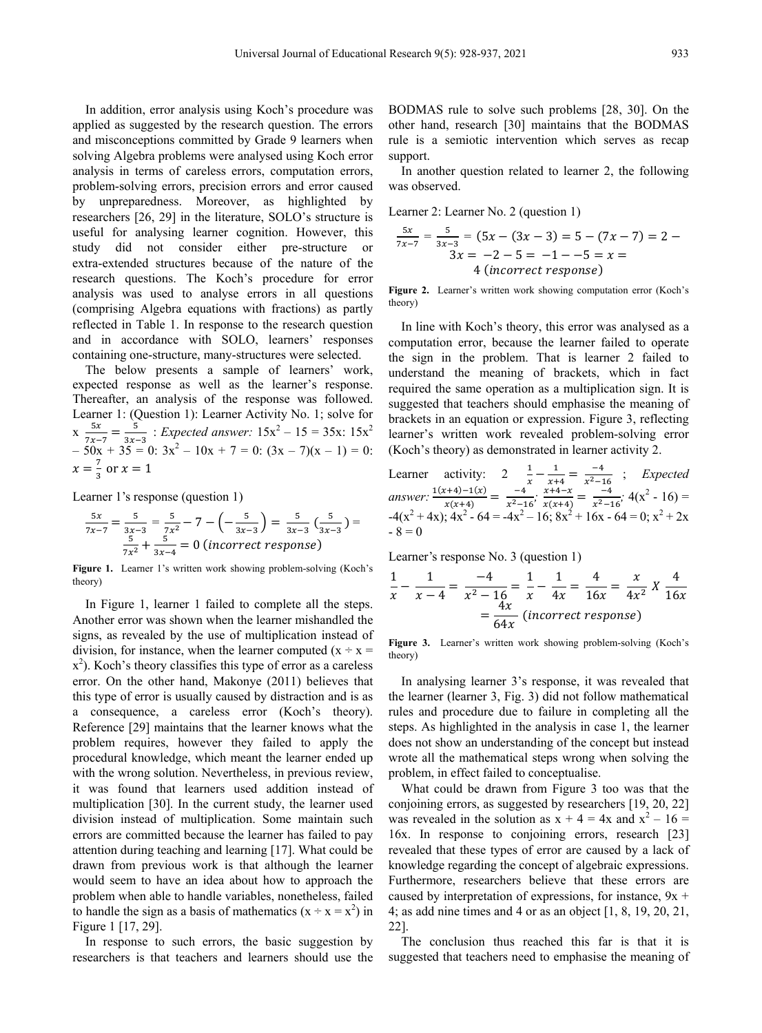In addition, error analysis using Koch's procedure was applied as suggested by the research question. The errors and misconceptions committed by Grade 9 learners when solving Algebra problems were analysed using Koch error analysis in terms of careless errors, computation errors, problem-solving errors, precision errors and error caused by unpreparedness. Moreover, as highlighted by researchers [26, 29] in the literature, SOLO's structure is useful for analysing learner cognition. However, this study did not consider either pre-structure or extra-extended structures because of the nature of the research questions. The Koch's procedure for error analysis was used to analyse errors in all questions (comprising Algebra equations with fractions) as partly reflected in Table 1. In response to the research question and in accordance with SOLO, learners' responses containing one-structure, many-structures were selected.

The below presents a sample of learners' work, expected response as well as the learner's response. Thereafter, an analysis of the response was followed. Learner 1: (Question 1): Learner Activity No. 1; solve for  $x \frac{5x}{7x-7} = \frac{5}{3x-3}$ : *Expected answer*:  $15x^2 - 15 = 35x$ :  $15x^2$  $-50x + 35 = 0$ :  $3x^2 - 10x + 7 = 0$ :  $(3x - 7)(x - 1) = 0$ :  $x = \frac{7}{3}$  or  $x = 1$ 

Learner 1's response (question 1)

$$
\frac{5x}{7x-7} = \frac{5}{3x-3} = \frac{5}{7x^2} - 7 - \left(-\frac{5}{3x-3}\right) = \frac{5}{3x-3} \left(\frac{5}{3x-3}\right) = \frac{5}{7x^2} + \frac{5}{3x-4} = 0
$$
 (incorrect response)

Figure 1. Learner 1's written work showing problem-solving (Koch's theory)

In Figure 1, learner 1 failed to complete all the steps. Another error was shown when the learner mishandled the signs, as revealed by the use of multiplication instead of division, for instance, when the learner computed  $(x \div x =$  $x<sup>2</sup>$ ). Koch's theory classifies this type of error as a careless error. On the other hand, Makonye (2011) believes that this type of error is usually caused by distraction and is as a consequence, a careless error (Koch's theory). Reference [29] maintains that the learner knows what the problem requires, however they failed to apply the procedural knowledge, which meant the learner ended up with the wrong solution. Nevertheless, in previous review, it was found that learners used addition instead of multiplication [30]. In the current study, the learner used division instead of multiplication. Some maintain such errors are committed because the learner has failed to pay attention during teaching and learning [17]. What could be drawn from previous work is that although the learner would seem to have an idea about how to approach the problem when able to handle variables, nonetheless, failed to handle the sign as a basis of mathematics  $(x \div x = x^2)$  in Figure 1 [17, 29].

In response to such errors, the basic suggestion by researchers is that teachers and learners should use the BODMAS rule to solve such problems [28, 30]. On the other hand, research [30] maintains that the BODMAS rule is a semiotic intervention which serves as recap support.

In another question related to learner 2, the following was observed.

Learner 2: Learner No. 2 (question 1)

$$
\frac{5x}{7x-7} = \frac{5}{3x-3} = (5x - (3x - 3)) = 5 - (7x - 7) = 2 - 3x = -2 - 5 = -1 - 5 = x = 4
$$
\n(incorrect response)

**Figure 2.** Learner's written work showing computation error (Koch's theory)

In line with Koch's theory, this error was analysed as a computation error, because the learner failed to operate the sign in the problem. That is learner 2 failed to understand the meaning of brackets, which in fact required the same operation as a multiplication sign. It is suggested that teachers should emphasise the meaning of brackets in an equation or expression. Figure 3, reflecting learner's written work revealed problem-solving error (Koch's theory) as demonstrated in learner activity 2.

Learner activity: 
$$
2\frac{1}{x} - \frac{1}{x+4} = \frac{-4}{x^2-16}
$$
; *Expected*  
answer: 
$$
\frac{1(x+4)-1(x)}{x(x+4)} = \frac{-4}{x^2-16}
$$
; 
$$
\frac{x+4-x}{x(x+4)} = \frac{-4}{x^2-16}
$$
; 
$$
4(x^2 - 16) = -4(x^2 + 4x)
$$
; 
$$
4x^2 - 64 = -4x^2 - 16
$$
; 
$$
8x^2 + 16x - 64 = 0
$$
; 
$$
x^2 + 2x - 8 = 0
$$

Learner's response No. 3 (question 1)

$$
\frac{1}{x} - \frac{1}{x - 4} = \frac{-4}{x^2 - 16} = \frac{1}{x} - \frac{1}{4x} = \frac{4}{16x} = \frac{x}{4x^2} X \frac{4}{16x}
$$

$$
= \frac{4x}{64x} \text{ (incorrect response)}
$$

**Figure 3.** Learner's written work showing problem-solving (Koch's theory)

In analysing learner 3's response, it was revealed that the learner (learner 3, Fig. 3) did not follow mathematical rules and procedure due to failure in completing all the steps. As highlighted in the analysis in case 1, the learner does not show an understanding of the concept but instead wrote all the mathematical steps wrong when solving the problem, in effect failed to conceptualise.

What could be drawn from Figure 3 too was that the conjoining errors, as suggested by researchers [19, 20, 22] was revealed in the solution as  $x + 4 = 4x$  and  $x^2 - 16 =$ 16x. In response to conjoining errors, research [23] revealed that these types of error are caused by a lack of knowledge regarding the concept of algebraic expressions. Furthermore, researchers believe that these errors are caused by interpretation of expressions, for instance,  $9x +$ 4; as add nine times and 4 or as an object [1, 8, 19, 20, 21, 22].

The conclusion thus reached this far is that it is suggested that teachers need to emphasise the meaning of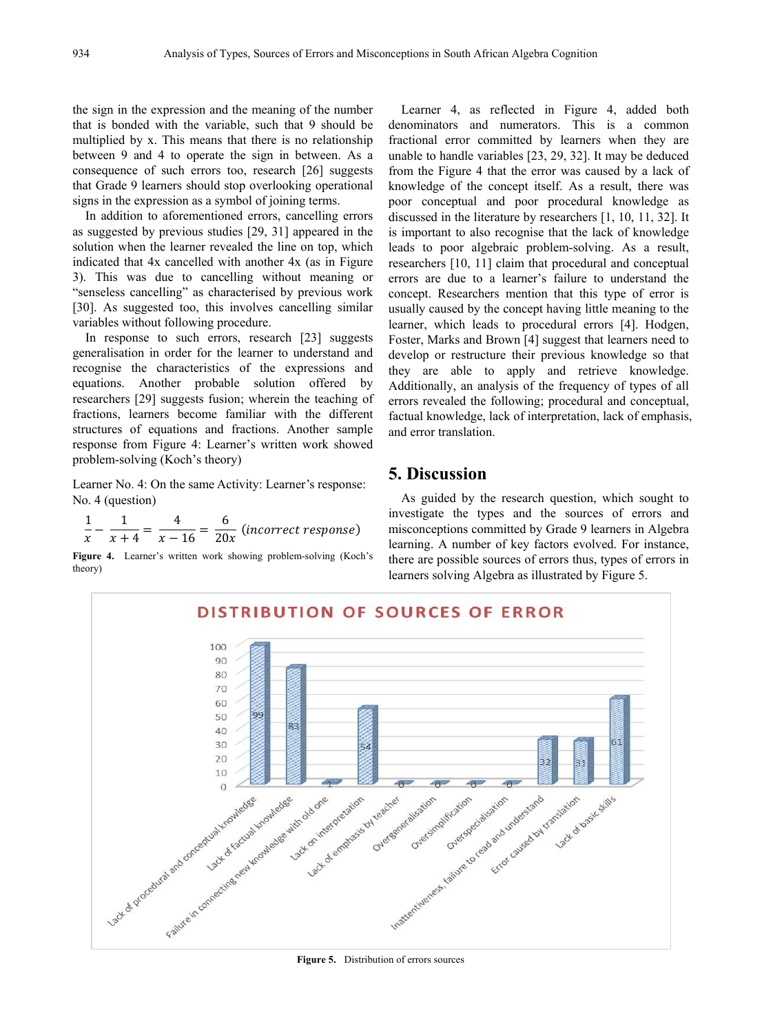the sign in the expression and the meaning of the number that is bonded with the variable, such that 9 should be multiplied by x. This means that there is no relationship between 9 and 4 to operate the sign in between. As a consequence of such errors too, research [26] suggests that Grade 9 learners should stop overlooking operational signs in the expression as a symbol of joining terms.

In addition to aforementioned errors, cancelling errors as suggested by previous studies [29, 31] appeared in the solution when the learner revealed the line on top, which indicated that 4x cancelled with another 4x (as in Figure 3). This was due to cancelling without meaning or "senseless cancelling" as characterised by previous work [30]. As suggested too, this involves cancelling similar variables without following procedure.

In response to such errors, research [23] suggests generalisation in order for the learner to understand and recognise the characteristics of the expressions and equations. Another probable solution offered by researchers [29] suggests fusion; wherein the teaching of fractions, learners become familiar with the different structures of equations and fractions. Another sample response from Figure 4: Learner's written work showed problem-solving (Koch's theory)

Learner No. 4: On the same Activity: Learner's response: No. 4 (question)

$$
\frac{1}{x} - \frac{1}{x+4} = \frac{4}{x-16} = \frac{6}{20x}
$$
 (incorrect response)

**Figure 4.** Learner's written work showing problem-solving (Koch's theory)

Learner 4, as reflected in Figure 4, added both denominators and numerators. This is a common fractional error committed by learners when they are unable to handle variables [23, 29, 32]. It may be deduced from the Figure 4 that the error was caused by a lack of knowledge of the concept itself. As a result, there was poor conceptual and poor procedural knowledge as discussed in the literature by researchers [1, 10, 11, 32]. It is important to also recognise that the lack of knowledge leads to poor algebraic problem-solving. As a result, researchers [10, 11] claim that procedural and conceptual errors are due to a learner's failure to understand the concept. Researchers mention that this type of error is usually caused by the concept having little meaning to the learner, which leads to procedural errors [4]. Hodgen, Foster, Marks and Brown [4] suggest that learners need to develop or restructure their previous knowledge so that they are able to apply and retrieve knowledge. Additionally, an analysis of the frequency of types of all errors revealed the following; procedural and conceptual, factual knowledge, lack of interpretation, lack of emphasis, and error translation.

## **5. Discussion**

As guided by the research question, which sought to investigate the types and the sources of errors and misconceptions committed by Grade 9 learners in Algebra learning. A number of key factors evolved. For instance, there are possible sources of errors thus, types of errors in learners solving Algebra as illustrated by Figure 5.

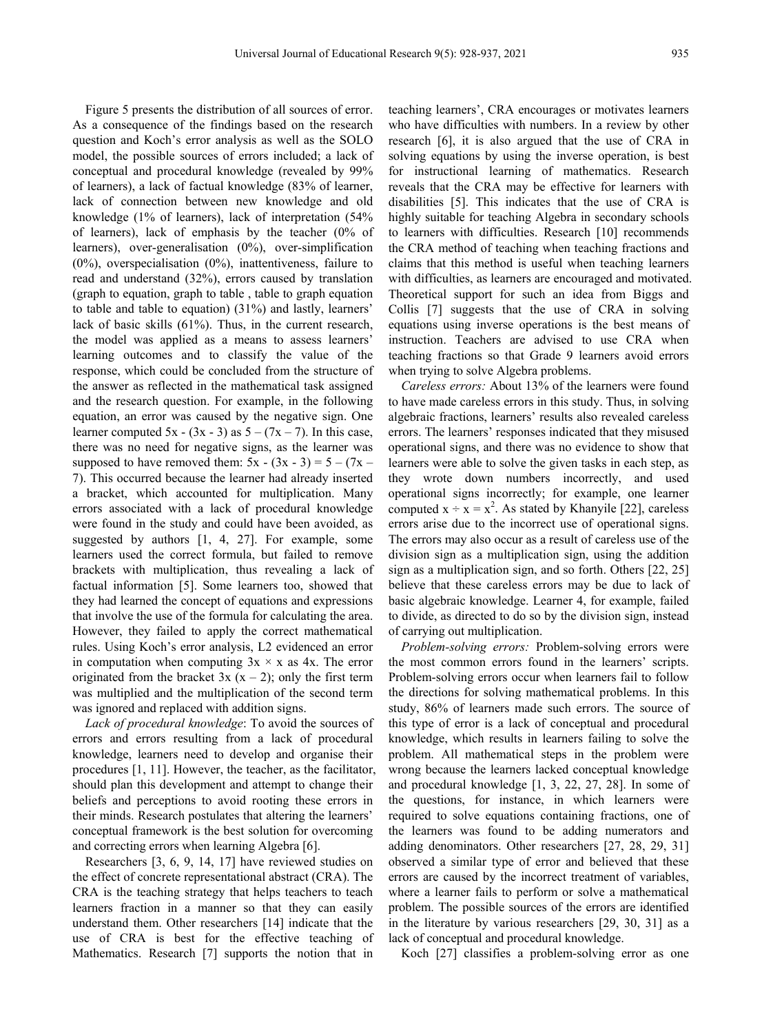Figure 5 presents the distribution of all sources of error. As a consequence of the findings based on the research question and Koch's error analysis as well as the SOLO model, the possible sources of errors included; a lack of conceptual and procedural knowledge (revealed by 99% of learners), a lack of factual knowledge (83% of learner, lack of connection between new knowledge and old knowledge (1% of learners), lack of interpretation (54% of learners), lack of emphasis by the teacher (0% of learners), over-generalisation (0%), over-simplification  $(0\%)$ , overspecialisation  $(0\%)$ , inattentiveness, failure to read and understand (32%), errors caused by translation (graph to equation, graph to table , table to graph equation to table and table to equation) (31%) and lastly, learners' lack of basic skills (61%). Thus, in the current research, the model was applied as a means to assess learners' learning outcomes and to classify the value of the response, which could be concluded from the structure of the answer as reflected in the mathematical task assigned and the research question. For example, in the following equation, an error was caused by the negative sign. One learner computed 5x - (3x - 3) as  $5 - (7x - 7)$ . In this case, there was no need for negative signs, as the learner was supposed to have removed them:  $5x - (3x - 3) = 5 - (7x -$ 7). This occurred because the learner had already inserted a bracket, which accounted for multiplication. Many errors associated with a lack of procedural knowledge were found in the study and could have been avoided, as suggested by authors [1, 4, 27]. For example, some learners used the correct formula, but failed to remove brackets with multiplication, thus revealing a lack of factual information [5]. Some learners too, showed that they had learned the concept of equations and expressions that involve the use of the formula for calculating the area. However, they failed to apply the correct mathematical rules. Using Koch's error analysis, L2 evidenced an error in computation when computing  $3x \times x$  as  $4x$ . The error originated from the bracket  $3x(x - 2)$ ; only the first term was multiplied and the multiplication of the second term was ignored and replaced with addition signs.

*Lack of procedural knowledge*: To avoid the sources of errors and errors resulting from a lack of procedural knowledge, learners need to develop and organise their procedures [1, 11]. However, the teacher, as the facilitator, should plan this development and attempt to change their beliefs and perceptions to avoid rooting these errors in their minds. Research postulates that altering the learners' conceptual framework is the best solution for overcoming and correcting errors when learning Algebra [6].

Researchers [3, 6, 9, 14, 17] have reviewed studies on the effect of concrete representational abstract (CRA). The CRA is the teaching strategy that helps teachers to teach learners fraction in a manner so that they can easily understand them. Other researchers [14] indicate that the use of CRA is best for the effective teaching of Mathematics. Research [7] supports the notion that in

teaching learners', CRA encourages or motivates learners who have difficulties with numbers. In a review by other research [6], it is also argued that the use of CRA in solving equations by using the inverse operation, is best for instructional learning of mathematics. Research reveals that the CRA may be effective for learners with disabilities [5]. This indicates that the use of CRA is highly suitable for teaching Algebra in secondary schools to learners with difficulties. Research [10] recommends the CRA method of teaching when teaching fractions and claims that this method is useful when teaching learners with difficulties, as learners are encouraged and motivated. Theoretical support for such an idea from Biggs and Collis [7] suggests that the use of CRA in solving equations using inverse operations is the best means of instruction. Teachers are advised to use CRA when teaching fractions so that Grade 9 learners avoid errors when trying to solve Algebra problems.

*Careless errors:* About 13% of the learners were found to have made careless errors in this study. Thus, in solving algebraic fractions, learners' results also revealed careless errors. The learners' responses indicated that they misused operational signs, and there was no evidence to show that learners were able to solve the given tasks in each step, as they wrote down numbers incorrectly, and used operational signs incorrectly; for example, one learner computed  $x \div x = x^2$ . As stated by Khanyile [22], careless errors arise due to the incorrect use of operational signs. The errors may also occur as a result of careless use of the division sign as a multiplication sign, using the addition sign as a multiplication sign, and so forth. Others [22, 25] believe that these careless errors may be due to lack of basic algebraic knowledge. Learner 4, for example, failed to divide, as directed to do so by the division sign, instead of carrying out multiplication.

*Problem-solving errors:* Problem-solving errors were the most common errors found in the learners' scripts. Problem-solving errors occur when learners fail to follow the directions for solving mathematical problems. In this study, 86% of learners made such errors. The source of this type of error is a lack of conceptual and procedural knowledge, which results in learners failing to solve the problem. All mathematical steps in the problem were wrong because the learners lacked conceptual knowledge and procedural knowledge [1, 3, 22, 27, 28]. In some of the questions, for instance, in which learners were required to solve equations containing fractions, one of the learners was found to be adding numerators and adding denominators. Other researchers [27, 28, 29, 31] observed a similar type of error and believed that these errors are caused by the incorrect treatment of variables, where a learner fails to perform or solve a mathematical problem. The possible sources of the errors are identified in the literature by various researchers [29, 30, 31] as a lack of conceptual and procedural knowledge.

Koch [27] classifies a problem-solving error as one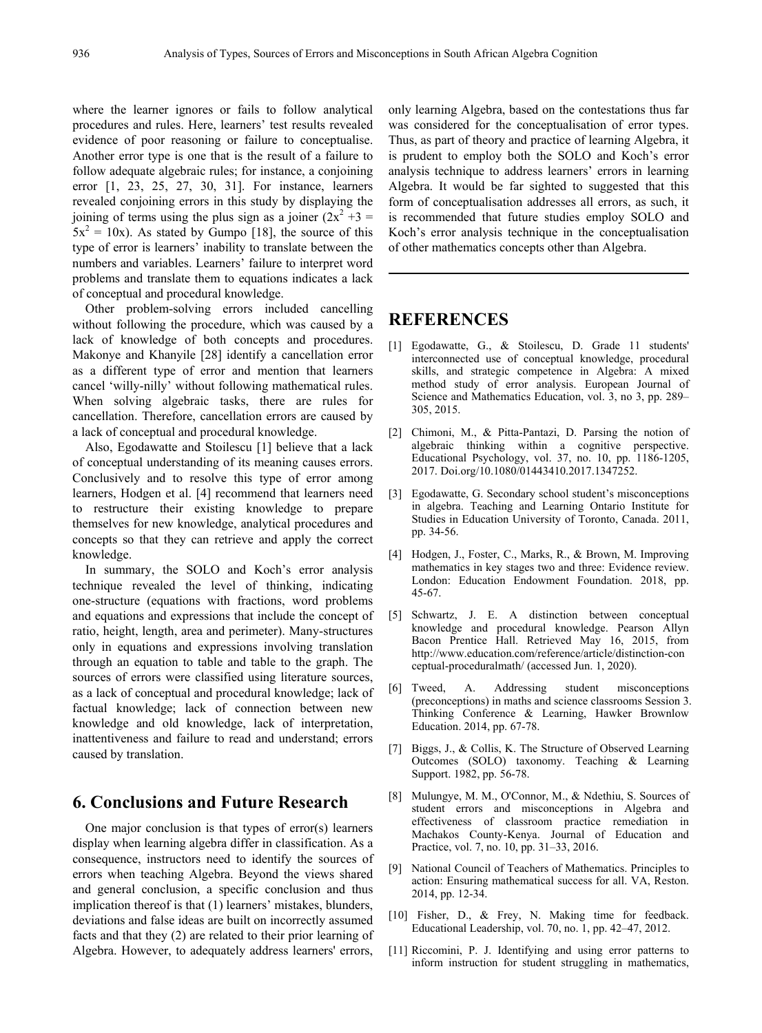where the learner ignores or fails to follow analytical procedures and rules. Here, learners' test results revealed evidence of poor reasoning or failure to conceptualise. Another error type is one that is the result of a failure to follow adequate algebraic rules; for instance, a conjoining error [1, 23, 25, 27, 30, 31]. For instance, learners revealed conjoining errors in this study by displaying the joining of terms using the plus sign as a joiner  $(2x^2 +3)$  $5x^2 = 10x$ . As stated by Gumpo [18], the source of this type of error is learners' inability to translate between the numbers and variables. Learners' failure to interpret word problems and translate them to equations indicates a lack of conceptual and procedural knowledge.

Other problem-solving errors included cancelling without following the procedure, which was caused by a lack of knowledge of both concepts and procedures. Makonye and Khanyile [28] identify a cancellation error as a different type of error and mention that learners cancel 'willy-nilly' without following mathematical rules. When solving algebraic tasks, there are rules for cancellation. Therefore, cancellation errors are caused by a lack of conceptual and procedural knowledge.

Also, Egodawatte and Stoilescu [1] believe that a lack of conceptual understanding of its meaning causes errors. Conclusively and to resolve this type of error among learners, Hodgen et al. [4] recommend that learners need to restructure their existing knowledge to prepare themselves for new knowledge, analytical procedures and concepts so that they can retrieve and apply the correct knowledge.

In summary, the SOLO and Koch's error analysis technique revealed the level of thinking, indicating one-structure (equations with fractions, word problems and equations and expressions that include the concept of ratio, height, length, area and perimeter). Many-structures only in equations and expressions involving translation through an equation to table and table to the graph. The sources of errors were classified using literature sources, as a lack of conceptual and procedural knowledge; lack of factual knowledge; lack of connection between new knowledge and old knowledge, lack of interpretation, inattentiveness and failure to read and understand; errors caused by translation.

## **6. Conclusions and Future Research**

One major conclusion is that types of error(s) learners display when learning algebra differ in classification. As a consequence, instructors need to identify the sources of errors when teaching Algebra. Beyond the views shared and general conclusion, a specific conclusion and thus implication thereof is that (1) learners' mistakes, blunders, deviations and false ideas are built on incorrectly assumed facts and that they (2) are related to their prior learning of Algebra. However, to adequately address learners' errors,

only learning Algebra, based on the contestations thus far was considered for the conceptualisation of error types. Thus, as part of theory and practice of learning Algebra, it is prudent to employ both the SOLO and Koch's error analysis technique to address learners' errors in learning Algebra. It would be far sighted to suggested that this form of conceptualisation addresses all errors, as such, it is recommended that future studies employ SOLO and Koch's error analysis technique in the conceptualisation of other mathematics concepts other than Algebra.

## **REFERENCES**

- [1] Egodawatte, G., & Stoilescu, D. Grade 11 students' interconnected use of conceptual knowledge, procedural skills, and strategic competence in Algebra: A mixed method study of error analysis. European Journal of Science and Mathematics Education, vol. 3, no 3, pp. 289– 305, 2015.
- [2] Chimoni, M., & Pitta-Pantazi, D. Parsing the notion of algebraic thinking within a cognitive perspective. Educational Psychology, vol. 37, no. 10, pp. 1186-1205, 2017. Doi.org/10.1080/01443410.2017.1347252.
- [3] Egodawatte, G. Secondary school student's misconceptions in algebra. Teaching and Learning Ontario Institute for Studies in Education University of Toronto, Canada. 2011, pp. 34-56.
- [4] Hodgen, J., Foster, C., Marks, R., & Brown, M. Improving mathematics in key stages two and three: Evidence review. London: Education Endowment Foundation. 2018, pp. 45-67.
- [5] Schwartz, J. E. A distinction between conceptual knowledge and procedural knowledge. Pearson Allyn Bacon Prentice Hall. Retrieved May 16, 2015, from http://www.education.com/reference/article/distinction-con ceptual-proceduralmath/ (accessed Jun. 1, 2020).
- [6] Tweed, A. Addressing student misconceptions (preconceptions) in maths and science classrooms Session 3. Thinking Conference & Learning, Hawker Brownlow Education. 2014, pp. 67-78.
- [7] Biggs, J., & Collis, K. The Structure of Observed Learning Outcomes (SOLO) taxonomy. Teaching & Learning Support. 1982, pp. 56-78.
- [8] Mulungye, M. M., O'Connor, M., & Ndethiu, S. Sources of student errors and misconceptions in Algebra and effectiveness of classroom practice remediation in Machakos County-Kenya. Journal of Education and Practice, vol. 7, no. 10, pp. 31–33, 2016.
- [9] National Council of Teachers of Mathematics. Principles to action: Ensuring mathematical success for all. VA, Reston. 2014, pp. 12-34.
- [10] Fisher, D., & Frey, N. Making time for feedback. Educational Leadership, vol. 70, no. 1, pp. 42–47, 2012.
- [11] Riccomini, P. J. Identifying and using error patterns to inform instruction for student struggling in mathematics,